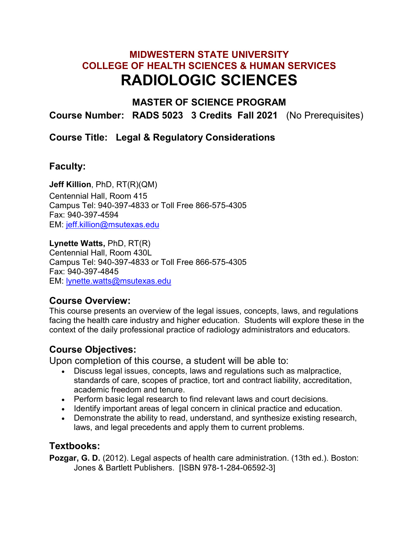# MIDWESTERN STATE UNIVERSITY COLLEGE OF HEALTH SCIENCES & HUMAN SERVICES RADIOLOGIC SCIENCES

MASTER OF SCIENCE PROGRAM Course Number: RADS 5023 3 Credits Fall 2021 (No Prerequisites)

#### Course Title: Legal & Regulatory Considerations

## Faculty:

Jeff Killion, PhD, RT(R)(QM) Centennial Hall, Room 415 Campus Tel: 940-397-4833 or Toll Free 866-575-4305 Fax: 940-397-4594 EM: jeff.killion@msutexas.edu

Lynette Watts, PhD, RT(R) Centennial Hall, Room 430L Campus Tel: 940-397-4833 or Toll Free 866-575-4305 Fax: 940-397-4845 EM: lynette.watts@msutexas.edu

#### Course Overview:

This course presents an overview of the legal issues, concepts, laws, and regulations facing the health care industry and higher education. Students will explore these in the context of the daily professional practice of radiology administrators and educators.

#### Course Objectives:

Upon completion of this course, a student will be able to:

- Discuss legal issues, concepts, laws and regulations such as malpractice, standards of care, scopes of practice, tort and contract liability, accreditation, academic freedom and tenure.
- Perform basic legal research to find relevant laws and court decisions.
- Identify important areas of legal concern in clinical practice and education.
- Demonstrate the ability to read, understand, and synthesize existing research, laws, and legal precedents and apply them to current problems.

#### Textbooks:

Pozgar, G. D. (2012). Legal aspects of health care administration. (13th ed.). Boston: Jones & Bartlett Publishers. [ISBN 978-1-284-06592-3]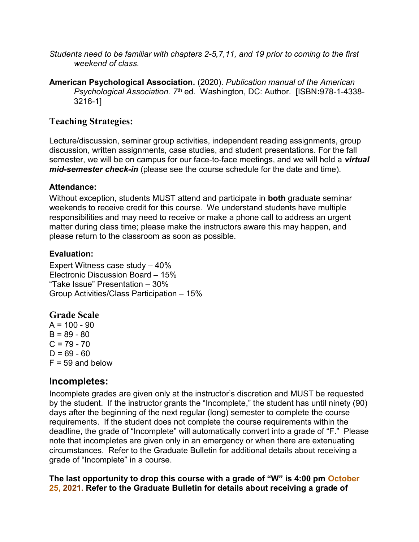- Students need to be familiar with chapters 2-5,7,11, and 19 prior to coming to the first weekend of class.
- American Psychological Association. (2020). Publication manual of the American Psychological Association. 7<sup>th</sup> ed. Washington, DC: Author. [ISBN:978-1-4338-3216-1]

#### Teaching Strategies:

Lecture/discussion, seminar group activities, independent reading assignments, group discussion, written assignments, case studies, and student presentations. For the fall semester, we will be on campus for our face-to-face meetings, and we will hold a *virtual* mid-semester check-in (please see the course schedule for the date and time).

#### Attendance:

Without exception, students MUST attend and participate in **both** graduate seminar weekends to receive credit for this course. We understand students have multiple responsibilities and may need to receive or make a phone call to address an urgent matter during class time; please make the instructors aware this may happen, and please return to the classroom as soon as possible.

#### Evaluation:

Expert Witness case study – 40% Electronic Discussion Board – 15% "Take Issue" Presentation – 30% Group Activities/Class Participation – 15%

#### Grade Scale

 $A = 100 - 90$  $B = 89 - 80$  $C = 79 - 70$  $D = 69 - 60$  $F = 59$  and below

#### Incompletes:

Incomplete grades are given only at the instructor's discretion and MUST be requested by the student. If the instructor grants the "Incomplete," the student has until ninety (90) days after the beginning of the next regular (long) semester to complete the course requirements. If the student does not complete the course requirements within the deadline, the grade of "Incomplete" will automatically convert into a grade of "F." Please note that incompletes are given only in an emergency or when there are extenuating circumstances. Refer to the Graduate Bulletin for additional details about receiving a grade of "Incomplete" in a course.

#### The last opportunity to drop this course with a grade of "W" is 4:00 pm October 25, 2021. Refer to the Graduate Bulletin for details about receiving a grade of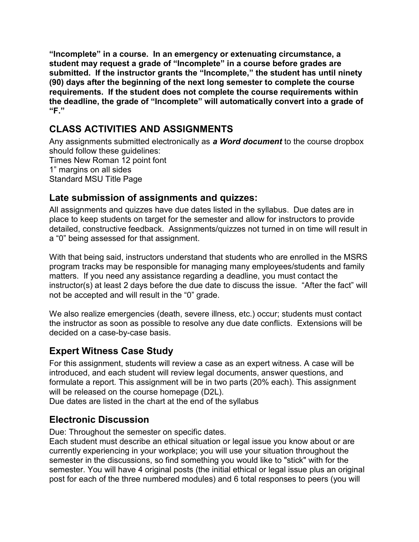"Incomplete" in a course. In an emergency or extenuating circumstance, a student may request a grade of "Incomplete" in a course before grades are submitted. If the instructor grants the "Incomplete," the student has until ninety (90) days after the beginning of the next long semester to complete the course requirements. If the student does not complete the course requirements within the deadline, the grade of "Incomplete" will automatically convert into a grade of  $"F."$ 

## CLASS ACTIVITIES AND ASSIGNMENTS

Any assignments submitted electronically as a Word document to the course dropbox should follow these guidelines: Times New Roman 12 point font

1" margins on all sides

Standard MSU Title Page

#### Late submission of assignments and quizzes:

All assignments and quizzes have due dates listed in the syllabus. Due dates are in place to keep students on target for the semester and allow for instructors to provide detailed, constructive feedback. Assignments/quizzes not turned in on time will result in a "0" being assessed for that assignment.

With that being said, instructors understand that students who are enrolled in the MSRS program tracks may be responsible for managing many employees/students and family matters. If you need any assistance regarding a deadline, you must contact the instructor(s) at least 2 days before the due date to discuss the issue. "After the fact" will not be accepted and will result in the "0" grade.

We also realize emergencies (death, severe illness, etc.) occur; students must contact the instructor as soon as possible to resolve any due date conflicts. Extensions will be decided on a case-by-case basis.

#### Expert Witness Case Study

For this assignment, students will review a case as an expert witness. A case will be introduced, and each student will review legal documents, answer questions, and formulate a report. This assignment will be in two parts (20% each). This assignment will be released on the course homepage (D2L).

Due dates are listed in the chart at the end of the syllabus

#### Electronic Discussion

Due: Throughout the semester on specific dates.

Each student must describe an ethical situation or legal issue you know about or are currently experiencing in your workplace; you will use your situation throughout the semester in the discussions, so find something you would like to "stick" with for the semester. You will have 4 original posts (the initial ethical or legal issue plus an original post for each of the three numbered modules) and 6 total responses to peers (you will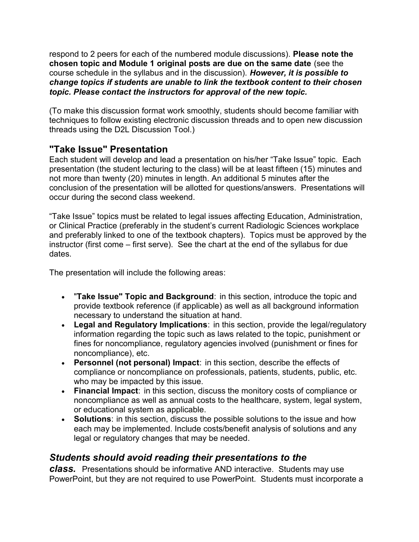respond to 2 peers for each of the numbered module discussions). Please note the chosen topic and Module 1 original posts are due on the same date (see the course schedule in the syllabus and in the discussion). However, it is possible to change topics if students are unable to link the textbook content to their chosen topic. Please contact the instructors for approval of the new topic.

(To make this discussion format work smoothly, students should become familiar with techniques to follow existing electronic discussion threads and to open new discussion threads using the D2L Discussion Tool.)

## "Take Issue" Presentation

Each student will develop and lead a presentation on his/her "Take Issue" topic. Each presentation (the student lecturing to the class) will be at least fifteen (15) minutes and not more than twenty (20) minutes in length. An additional 5 minutes after the conclusion of the presentation will be allotted for questions/answers. Presentations will occur during the second class weekend.

"Take Issue" topics must be related to legal issues affecting Education, Administration, or Clinical Practice (preferably in the student's current Radiologic Sciences workplace and preferably linked to one of the textbook chapters). Topics must be approved by the instructor (first come – first serve). See the chart at the end of the syllabus for due dates.

The presentation will include the following areas:

- . "Take Issue" Topic and Background: in this section, introduce the topic and provide textbook reference (if applicable) as well as all background information necessary to understand the situation at hand.
- Legal and Regulatory Implications: in this section, provide the legal/regulatory information regarding the topic such as laws related to the topic, punishment or fines for noncompliance, regulatory agencies involved (punishment or fines for noncompliance), etc.
- Personnel (not personal) Impact: in this section, describe the effects of compliance or noncompliance on professionals, patients, students, public, etc. who may be impacted by this issue.
- Financial Impact: in this section, discuss the monitory costs of compliance or noncompliance as well as annual costs to the healthcare, system, legal system, or educational system as applicable.
- Solutions: in this section, discuss the possible solutions to the issue and how each may be implemented. Include costs/benefit analysis of solutions and any legal or regulatory changes that may be needed.

## Students should avoid reading their presentations to the

**class.** Presentations should be informative AND interactive. Students may use PowerPoint, but they are not required to use PowerPoint. Students must incorporate a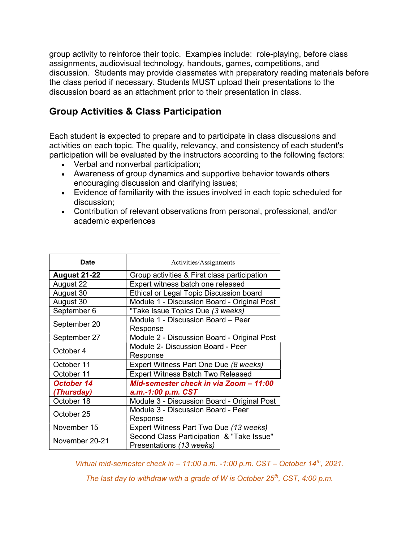group activity to reinforce their topic. Examples include: role-playing, before class assignments, audiovisual technology, handouts, games, competitions, and discussion. Students may provide classmates with preparatory reading materials before the class period if necessary. Students MUST upload their presentations to the discussion board as an attachment prior to their presentation in class.

## Group Activities & Class Participation

Each student is expected to prepare and to participate in class discussions and activities on each topic. The quality, relevancy, and consistency of each student's participation will be evaluated by the instructors according to the following factors:

- Verbal and nonverbal participation;
- Awareness of group dynamics and supportive behavior towards others encouraging discussion and clarifying issues;
- Evidence of familiarity with the issues involved in each topic scheduled for discussion;
- Contribution of relevant observations from personal, professional, and/or academic experiences

| Date                | Activities/Assignments                                                |
|---------------------|-----------------------------------------------------------------------|
| <b>August 21-22</b> | Group activities & First class participation                          |
| August 22           | Expert witness batch one released                                     |
| August 30           | <b>Ethical or Legal Topic Discussion board</b>                        |
| August 30           | Module 1 - Discussion Board - Original Post                           |
| September 6         | "Take Issue Topics Due (3 weeks)                                      |
| September 20        | Module 1 - Discussion Board - Peer                                    |
|                     | Response                                                              |
| September 27        | Module 2 - Discussion Board - Original Post                           |
| October 4           | Module 2- Discussion Board - Peer                                     |
|                     | Response                                                              |
| October 11          | Expert Witness Part One Due (8 weeks)                                 |
| October 11          | <b>Expert Witness Batch Two Released</b>                              |
| <b>October 14</b>   | Mid-semester check in via Zoom - 11:00                                |
| (Thursday)          | a.m.-1:00 p.m. CST                                                    |
| October 18          | Module 3 - Discussion Board - Original Post                           |
| October 25          | Module 3 - Discussion Board - Peer                                    |
|                     | Response                                                              |
| November 15         | Expert Witness Part Two Due (13 weeks)                                |
| November 20-21      | Second Class Participation & "Take Issue"<br>Presentations (13 weeks) |

Virtual mid-semester check in  $-11:00$  a.m.  $-1:00$  p.m. CST – October  $14<sup>th</sup>$ , 2021. The last day to withdraw with a grade of W is October  $25<sup>th</sup>$ , CST, 4:00 p.m.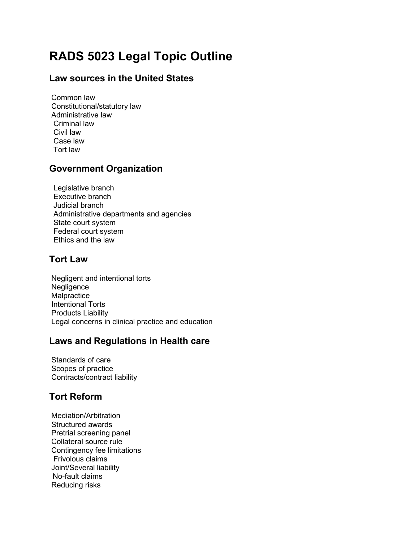# RADS 5023 Legal Topic Outline

#### Law sources in the United States

 Common law Constitutional/statutory law Administrative law Criminal law Civil law Case law Tort law

#### Government Organization

 Legislative branch Executive branch Judicial branch Administrative departments and agencies State court system Federal court system Ethics and the law

#### Tort Law

 Negligent and intentional torts **Negligence Malpractice**  Intentional Torts Products Liability Legal concerns in clinical practice and education

#### Laws and Regulations in Health care

 Standards of care Scopes of practice Contracts/contract liability

#### Tort Reform

 Mediation/Arbitration Structured awards Pretrial screening panel Collateral source rule Contingency fee limitations Frivolous claims Joint/Several liability No-fault claims Reducing risks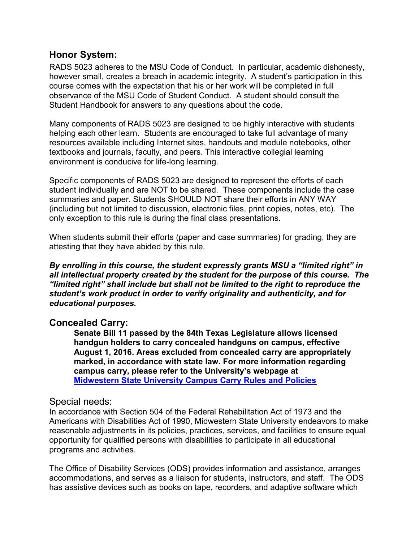#### Honor System:

RADS 5023 adheres to the MSU Code of Conduct. In particular, academic dishonesty, however small, creates a breach in academic integrity. A student's participation in this course comes with the expectation that his or her work will be completed in full observance of the MSU Code of Student Conduct. A student should consult the Student Handbook for answers to any questions about the code.

Many components of RADS 5023 are designed to be highly interactive with students helping each other learn. Students are encouraged to take full advantage of many resources available including Internet sites, handouts and module notebooks, other textbooks and journals, faculty, and peers. This interactive collegial learning environment is conducive for life-long learning.

Specific components of RADS 5023 are designed to represent the efforts of each student individually and are NOT to be shared. These components include the case summaries and paper. Students SHOULD NOT share their efforts in ANY WAY (including but not limited to discussion, electronic files, print copies, notes, etc). The only exception to this rule is during the final class presentations.

When students submit their efforts (paper and case summaries) for grading, they are attesting that they have abided by this rule.

By enrolling in this course, the student expressly grants MSU a "limited right" in all intellectual property created by the student for the purpose of this course. The "limited right" shall include but shall not be limited to the right to reproduce the student's work product in order to verify originality and authenticity, and for educational purposes.

#### Concealed Carry:

Senate Bill 11 passed by the 84th Texas Legislature allows licensed handgun holders to carry concealed handguns on campus, effective August 1, 2016. Areas excluded from concealed carry are appropriately marked, in accordance with state law. For more information regarding campus carry, please refer to the University's webpage at Midwestern State University Campus Carry Rules and Policies

#### Special needs:

In accordance with Section 504 of the Federal Rehabilitation Act of 1973 and the Americans with Disabilities Act of 1990, Midwestern State University endeavors to make reasonable adjustments in its policies, practices, services, and facilities to ensure equal opportunity for qualified persons with disabilities to participate in all educational programs and activities.

The Office of Disability Services (ODS) provides information and assistance, arranges accommodations, and serves as a liaison for students, instructors, and staff. The ODS has assistive devices such as books on tape, recorders, and adaptive software which